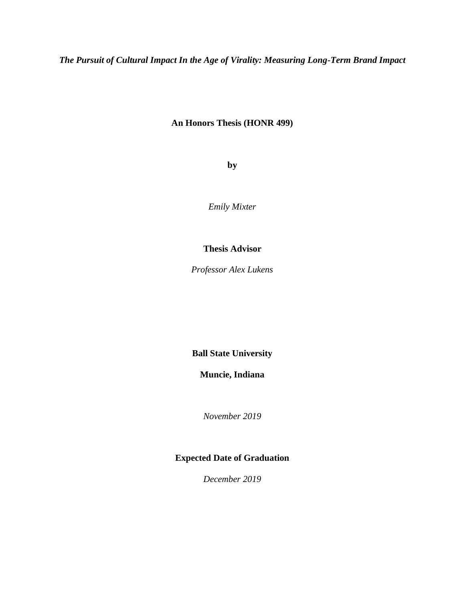*The Pursuit of Cultural Impact In the Age of Virality: Measuring Long-Term Brand Impact*

## **An Honors Thesis (HONR 499)**

**by** 

*Emily Mixter*

## **Thesis Advisor**

*Professor Alex Lukens* 

**Ball State University** 

**Muncie, Indiana** 

*November 2019* 

# **Expected Date of Graduation**

*December 2019*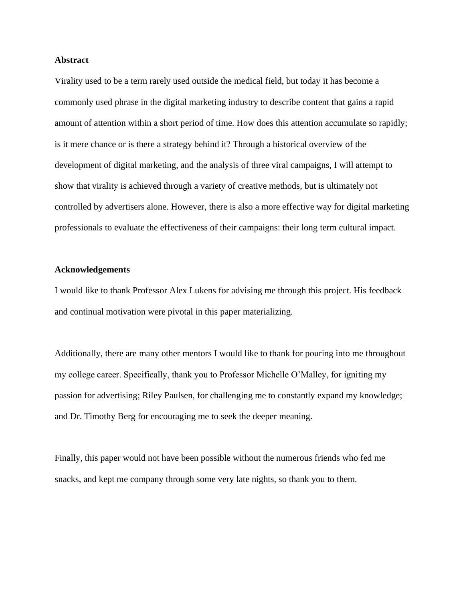### **Abstract**

Virality used to be a term rarely used outside the medical field, but today it has become a commonly used phrase in the digital marketing industry to describe content that gains a rapid amount of attention within a short period of time. How does this attention accumulate so rapidly; is it mere chance or is there a strategy behind it? Through a historical overview of the development of digital marketing, and the analysis of three viral campaigns, I will attempt to show that virality is achieved through a variety of creative methods, but is ultimately not controlled by advertisers alone. However, there is also a more effective way for digital marketing professionals to evaluate the effectiveness of their campaigns: their long term cultural impact.

#### **Acknowledgements**

I would like to thank Professor Alex Lukens for advising me through this project. His feedback and continual motivation were pivotal in this paper materializing.

Additionally, there are many other mentors I would like to thank for pouring into me throughout my college career. Specifically, thank you to Professor Michelle O'Malley, for igniting my passion for advertising; Riley Paulsen, for challenging me to constantly expand my knowledge; and Dr. Timothy Berg for encouraging me to seek the deeper meaning.

Finally, this paper would not have been possible without the numerous friends who fed me snacks, and kept me company through some very late nights, so thank you to them.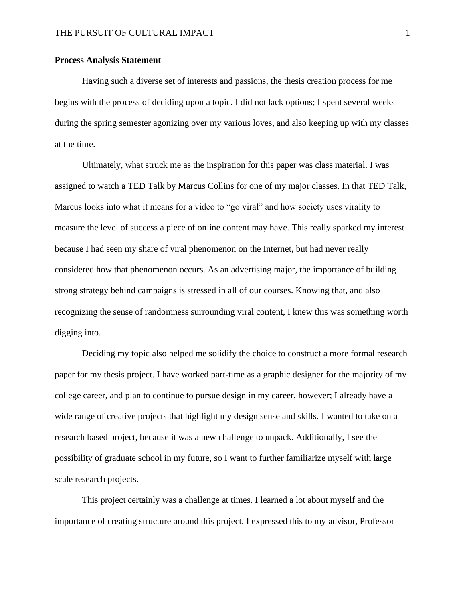### **Process Analysis Statement**

Having such a diverse set of interests and passions, the thesis creation process for me begins with the process of deciding upon a topic. I did not lack options; I spent several weeks during the spring semester agonizing over my various loves, and also keeping up with my classes at the time.

Ultimately, what struck me as the inspiration for this paper was class material. I was assigned to watch a TED Talk by Marcus Collins for one of my major classes. In that TED Talk, Marcus looks into what it means for a video to "go viral" and how society uses virality to measure the level of success a piece of online content may have. This really sparked my interest because I had seen my share of viral phenomenon on the Internet, but had never really considered how that phenomenon occurs. As an advertising major, the importance of building strong strategy behind campaigns is stressed in all of our courses. Knowing that, and also recognizing the sense of randomness surrounding viral content, I knew this was something worth digging into.

Deciding my topic also helped me solidify the choice to construct a more formal research paper for my thesis project. I have worked part-time as a graphic designer for the majority of my college career, and plan to continue to pursue design in my career, however; I already have a wide range of creative projects that highlight my design sense and skills. I wanted to take on a research based project, because it was a new challenge to unpack. Additionally, I see the possibility of graduate school in my future, so I want to further familiarize myself with large scale research projects.

This project certainly was a challenge at times. I learned a lot about myself and the importance of creating structure around this project. I expressed this to my advisor, Professor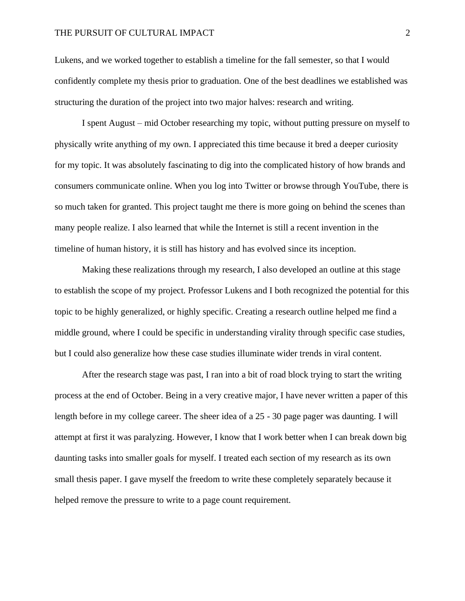#### THE PURSUIT OF CULTURAL IMPACT 2

Lukens, and we worked together to establish a timeline for the fall semester, so that I would confidently complete my thesis prior to graduation. One of the best deadlines we established was structuring the duration of the project into two major halves: research and writing.

I spent August – mid October researching my topic, without putting pressure on myself to physically write anything of my own. I appreciated this time because it bred a deeper curiosity for my topic. It was absolutely fascinating to dig into the complicated history of how brands and consumers communicate online. When you log into Twitter or browse through YouTube, there is so much taken for granted. This project taught me there is more going on behind the scenes than many people realize. I also learned that while the Internet is still a recent invention in the timeline of human history, it is still has history and has evolved since its inception.

Making these realizations through my research, I also developed an outline at this stage to establish the scope of my project. Professor Lukens and I both recognized the potential for this topic to be highly generalized, or highly specific. Creating a research outline helped me find a middle ground, where I could be specific in understanding virality through specific case studies, but I could also generalize how these case studies illuminate wider trends in viral content.

After the research stage was past, I ran into a bit of road block trying to start the writing process at the end of October. Being in a very creative major, I have never written a paper of this length before in my college career. The sheer idea of a 25 - 30 page pager was daunting. I will attempt at first it was paralyzing. However, I know that I work better when I can break down big daunting tasks into smaller goals for myself. I treated each section of my research as its own small thesis paper. I gave myself the freedom to write these completely separately because it helped remove the pressure to write to a page count requirement.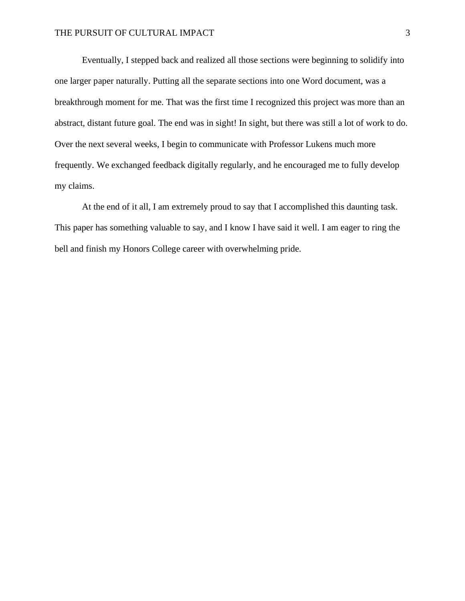Eventually, I stepped back and realized all those sections were beginning to solidify into one larger paper naturally. Putting all the separate sections into one Word document, was a breakthrough moment for me. That was the first time I recognized this project was more than an abstract, distant future goal. The end was in sight! In sight, but there was still a lot of work to do. Over the next several weeks, I begin to communicate with Professor Lukens much more frequently. We exchanged feedback digitally regularly, and he encouraged me to fully develop my claims.

At the end of it all, I am extremely proud to say that I accomplished this daunting task. This paper has something valuable to say, and I know I have said it well. I am eager to ring the bell and finish my Honors College career with overwhelming pride.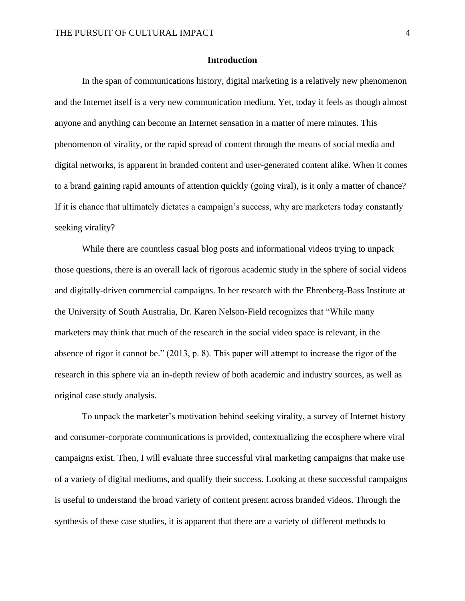## **Introduction**

In the span of communications history, digital marketing is a relatively new phenomenon and the Internet itself is a very new communication medium. Yet, today it feels as though almost anyone and anything can become an Internet sensation in a matter of mere minutes. This phenomenon of virality, or the rapid spread of content through the means of social media and digital networks, is apparent in branded content and user-generated content alike. When it comes to a brand gaining rapid amounts of attention quickly (going viral), is it only a matter of chance? If it is chance that ultimately dictates a campaign's success, why are marketers today constantly seeking virality?

While there are countless casual blog posts and informational videos trying to unpack those questions, there is an overall lack of rigorous academic study in the sphere of social videos and digitally-driven commercial campaigns. In her research with the Ehrenberg-Bass Institute at the University of South Australia, Dr. Karen Nelson-Field recognizes that "While many marketers may think that much of the research in the social video space is relevant, in the absence of rigor it cannot be." (2013, p. 8). This paper will attempt to increase the rigor of the research in this sphere via an in-depth review of both academic and industry sources, as well as original case study analysis.

To unpack the marketer's motivation behind seeking virality, a survey of Internet history and consumer-corporate communications is provided, contextualizing the ecosphere where viral campaigns exist. Then, I will evaluate three successful viral marketing campaigns that make use of a variety of digital mediums, and qualify their success. Looking at these successful campaigns is useful to understand the broad variety of content present across branded videos. Through the synthesis of these case studies, it is apparent that there are a variety of different methods to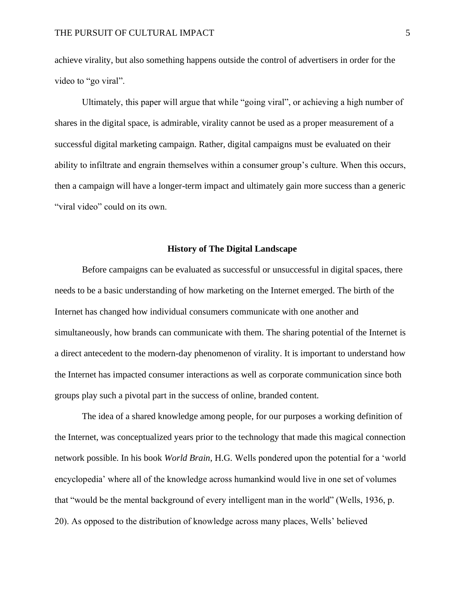achieve virality, but also something happens outside the control of advertisers in order for the video to "go viral".

Ultimately, this paper will argue that while "going viral", or achieving a high number of shares in the digital space, is admirable, virality cannot be used as a proper measurement of a successful digital marketing campaign. Rather, digital campaigns must be evaluated on their ability to infiltrate and engrain themselves within a consumer group's culture. When this occurs, then a campaign will have a longer-term impact and ultimately gain more success than a generic "viral video" could on its own.

### **History of The Digital Landscape**

Before campaigns can be evaluated as successful or unsuccessful in digital spaces, there needs to be a basic understanding of how marketing on the Internet emerged. The birth of the Internet has changed how individual consumers communicate with one another and simultaneously, how brands can communicate with them. The sharing potential of the Internet is a direct antecedent to the modern-day phenomenon of virality. It is important to understand how the Internet has impacted consumer interactions as well as corporate communication since both groups play such a pivotal part in the success of online, branded content.

The idea of a shared knowledge among people, for our purposes a working definition of the Internet, was conceptualized years prior to the technology that made this magical connection network possible. In his book *World Brain*, H.G. Wells pondered upon the potential for a 'world encyclopedia' where all of the knowledge across humankind would live in one set of volumes that "would be the mental background of every intelligent man in the world" (Wells, 1936, p. 20). As opposed to the distribution of knowledge across many places, Wells' believed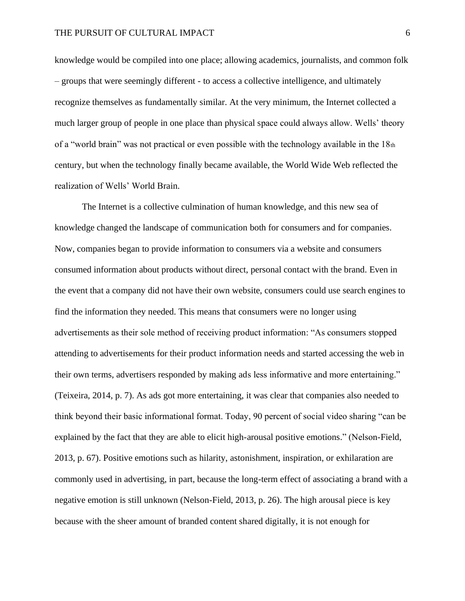knowledge would be compiled into one place; allowing academics, journalists, and common folk – groups that were seemingly different - to access a collective intelligence, and ultimately recognize themselves as fundamentally similar. At the very minimum, the Internet collected a much larger group of people in one place than physical space could always allow. Wells' theory of a "world brain" was not practical or even possible with the technology available in the 18th century, but when the technology finally became available, the World Wide Web reflected the realization of Wells' World Brain.

The Internet is a collective culmination of human knowledge, and this new sea of knowledge changed the landscape of communication both for consumers and for companies. Now, companies began to provide information to consumers via a website and consumers consumed information about products without direct, personal contact with the brand. Even in the event that a company did not have their own website, consumers could use search engines to find the information they needed. This means that consumers were no longer using advertisements as their sole method of receiving product information: "As consumers stopped attending to advertisements for their product information needs and started accessing the web in their own terms, advertisers responded by making ads less informative and more entertaining." (Teixeira, 2014, p. 7). As ads got more entertaining, it was clear that companies also needed to think beyond their basic informational format. Today, 90 percent of social video sharing "can be explained by the fact that they are able to elicit high-arousal positive emotions." (Nelson-Field, 2013, p. 67). Positive emotions such as hilarity, astonishment, inspiration, or exhilaration are commonly used in advertising, in part, because the long-term effect of associating a brand with a negative emotion is still unknown (Nelson-Field, 2013, p. 26). The high arousal piece is key because with the sheer amount of branded content shared digitally, it is not enough for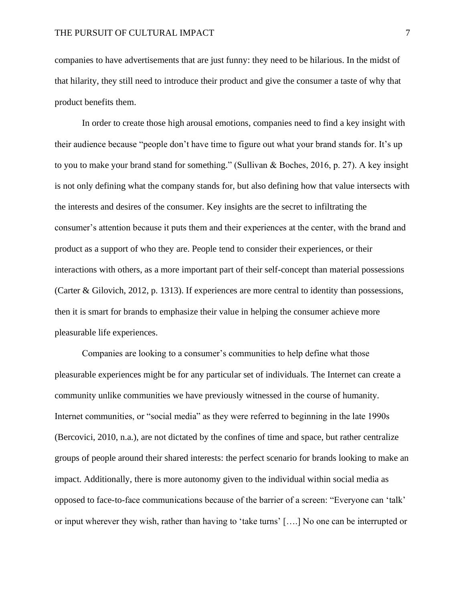companies to have advertisements that are just funny: they need to be hilarious. In the midst of that hilarity, they still need to introduce their product and give the consumer a taste of why that product benefits them.

In order to create those high arousal emotions, companies need to find a key insight with their audience because "people don't have time to figure out what your brand stands for. It's up to you to make your brand stand for something." (Sullivan & Boches, 2016, p. 27). A key insight is not only defining what the company stands for, but also defining how that value intersects with the interests and desires of the consumer. Key insights are the secret to infiltrating the consumer's attention because it puts them and their experiences at the center, with the brand and product as a support of who they are. People tend to consider their experiences, or their interactions with others, as a more important part of their self-concept than material possessions (Carter & Gilovich, 2012, p. 1313). If experiences are more central to identity than possessions, then it is smart for brands to emphasize their value in helping the consumer achieve more pleasurable life experiences.

Companies are looking to a consumer's communities to help define what those pleasurable experiences might be for any particular set of individuals. The Internet can create a community unlike communities we have previously witnessed in the course of humanity. Internet communities, or "social media" as they were referred to beginning in the late 1990s (Bercovici, 2010, n.a.), are not dictated by the confines of time and space, but rather centralize groups of people around their shared interests: the perfect scenario for brands looking to make an impact. Additionally, there is more autonomy given to the individual within social media as opposed to face-to-face communications because of the barrier of a screen: "Everyone can 'talk' or input wherever they wish, rather than having to 'take turns' [….] No one can be interrupted or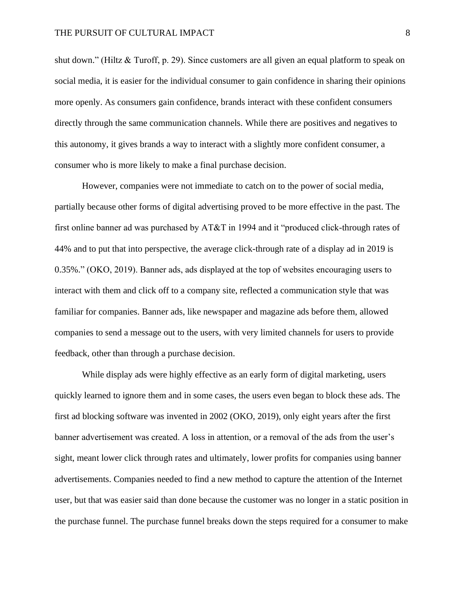shut down." (Hiltz & Turoff, p. 29). Since customers are all given an equal platform to speak on social media, it is easier for the individual consumer to gain confidence in sharing their opinions more openly. As consumers gain confidence, brands interact with these confident consumers directly through the same communication channels. While there are positives and negatives to this autonomy, it gives brands a way to interact with a slightly more confident consumer, a consumer who is more likely to make a final purchase decision.

However, companies were not immediate to catch on to the power of social media, partially because other forms of digital advertising proved to be more effective in the past. The first online banner ad was purchased by AT&T in 1994 and it "produced click-through rates of 44% and to put that into perspective, the average click-through rate of a display ad in 2019 is 0.35%." (OKO, 2019). Banner ads, ads displayed at the top of websites encouraging users to interact with them and click off to a company site, reflected a communication style that was familiar for companies. Banner ads, like newspaper and magazine ads before them, allowed companies to send a message out to the users, with very limited channels for users to provide feedback, other than through a purchase decision.

While display ads were highly effective as an early form of digital marketing, users quickly learned to ignore them and in some cases, the users even began to block these ads. The first ad blocking software was invented in 2002 (OKO, 2019), only eight years after the first banner advertisement was created. A loss in attention, or a removal of the ads from the user's sight, meant lower click through rates and ultimately, lower profits for companies using banner advertisements. Companies needed to find a new method to capture the attention of the Internet user, but that was easier said than done because the customer was no longer in a static position in the purchase funnel. The purchase funnel breaks down the steps required for a consumer to make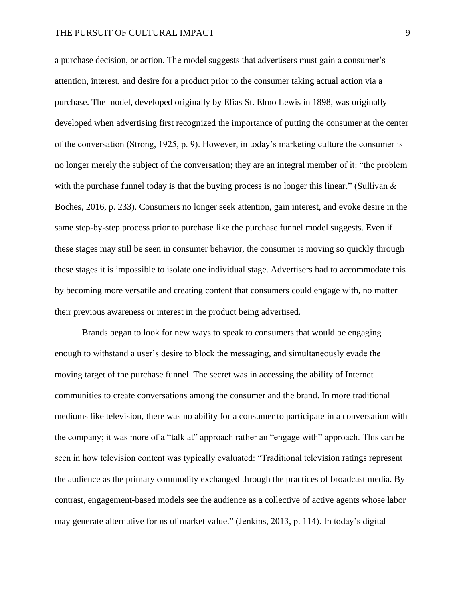a purchase decision, or action. The model suggests that advertisers must gain a consumer's attention, interest, and desire for a product prior to the consumer taking actual action via a purchase. The model, developed originally by Elias St. Elmo Lewis in 1898, was originally developed when advertising first recognized the importance of putting the consumer at the center of the conversation (Strong, 1925, p. 9). However, in today's marketing culture the consumer is no longer merely the subject of the conversation; they are an integral member of it: "the problem with the purchase funnel today is that the buying process is no longer this linear." (Sullivan  $\&$ Boches, 2016, p. 233). Consumers no longer seek attention, gain interest, and evoke desire in the same step-by-step process prior to purchase like the purchase funnel model suggests. Even if these stages may still be seen in consumer behavior, the consumer is moving so quickly through these stages it is impossible to isolate one individual stage. Advertisers had to accommodate this by becoming more versatile and creating content that consumers could engage with, no matter their previous awareness or interest in the product being advertised.

Brands began to look for new ways to speak to consumers that would be engaging enough to withstand a user's desire to block the messaging, and simultaneously evade the moving target of the purchase funnel. The secret was in accessing the ability of Internet communities to create conversations among the consumer and the brand. In more traditional mediums like television, there was no ability for a consumer to participate in a conversation with the company; it was more of a "talk at" approach rather an "engage with" approach. This can be seen in how television content was typically evaluated: "Traditional television ratings represent the audience as the primary commodity exchanged through the practices of broadcast media. By contrast, engagement-based models see the audience as a collective of active agents whose labor may generate alternative forms of market value." (Jenkins, 2013, p. 114). In today's digital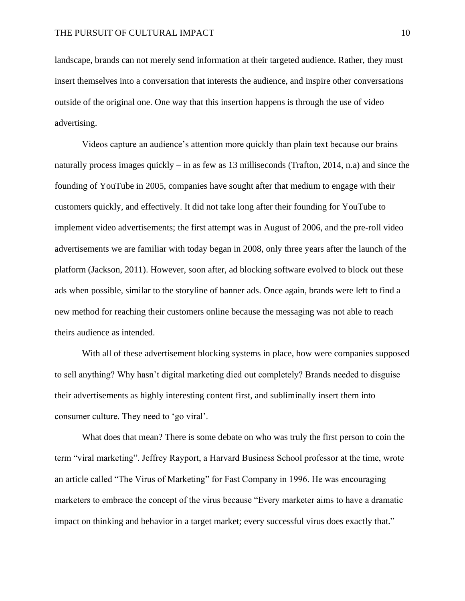landscape, brands can not merely send information at their targeted audience. Rather, they must insert themselves into a conversation that interests the audience, and inspire other conversations outside of the original one. One way that this insertion happens is through the use of video advertising.

Videos capture an audience's attention more quickly than plain text because our brains naturally process images quickly – in as few as 13 milliseconds (Trafton, 2014, n.a) and since the founding of YouTube in 2005, companies have sought after that medium to engage with their customers quickly, and effectively. It did not take long after their founding for YouTube to implement video advertisements; the first attempt was in August of 2006, and the pre-roll video advertisements we are familiar with today began in 2008, only three years after the launch of the platform (Jackson, 2011). However, soon after, ad blocking software evolved to block out these ads when possible, similar to the storyline of banner ads. Once again, brands were left to find a new method for reaching their customers online because the messaging was not able to reach theirs audience as intended.

With all of these advertisement blocking systems in place, how were companies supposed to sell anything? Why hasn't digital marketing died out completely? Brands needed to disguise their advertisements as highly interesting content first, and subliminally insert them into consumer culture. They need to 'go viral'.

What does that mean? There is some debate on who was truly the first person to coin the term "viral marketing". Jeffrey Rayport, a Harvard Business School professor at the time, wrote an article called "The Virus of Marketing" for Fast Company in 1996. He was encouraging marketers to embrace the concept of the virus because "Every marketer aims to have a dramatic impact on thinking and behavior in a target market; every successful virus does exactly that."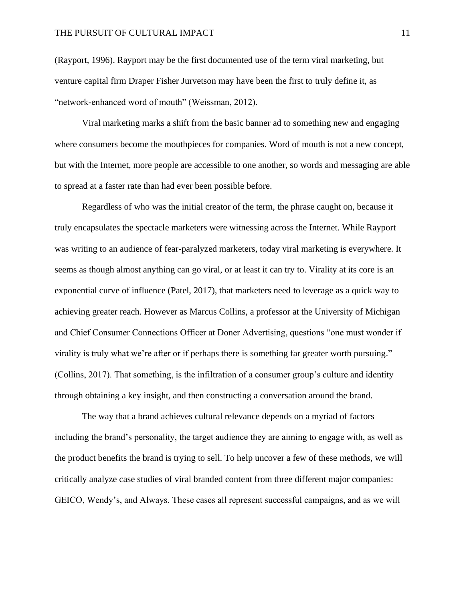#### THE PURSUIT OF CULTURAL IMPACT 11

(Rayport, 1996). Rayport may be the first documented use of the term viral marketing, but venture capital firm Draper Fisher Jurvetson may have been the first to truly define it, as "network-enhanced word of mouth" (Weissman, 2012).

Viral marketing marks a shift from the basic banner ad to something new and engaging where consumers become the mouthpieces for companies. Word of mouth is not a new concept, but with the Internet, more people are accessible to one another, so words and messaging are able to spread at a faster rate than had ever been possible before.

Regardless of who was the initial creator of the term, the phrase caught on, because it truly encapsulates the spectacle marketers were witnessing across the Internet. While Rayport was writing to an audience of fear-paralyzed marketers, today viral marketing is everywhere. It seems as though almost anything can go viral, or at least it can try to. Virality at its core is an exponential curve of influence (Patel, 2017), that marketers need to leverage as a quick way to achieving greater reach. However as Marcus Collins, a professor at the University of Michigan and Chief Consumer Connections Officer at Doner Advertising, questions "one must wonder if virality is truly what we're after or if perhaps there is something far greater worth pursuing." (Collins, 2017). That something, is the infiltration of a consumer group's culture and identity through obtaining a key insight, and then constructing a conversation around the brand.

The way that a brand achieves cultural relevance depends on a myriad of factors including the brand's personality, the target audience they are aiming to engage with, as well as the product benefits the brand is trying to sell. To help uncover a few of these methods, we will critically analyze case studies of viral branded content from three different major companies: GEICO, Wendy's, and Always. These cases all represent successful campaigns, and as we will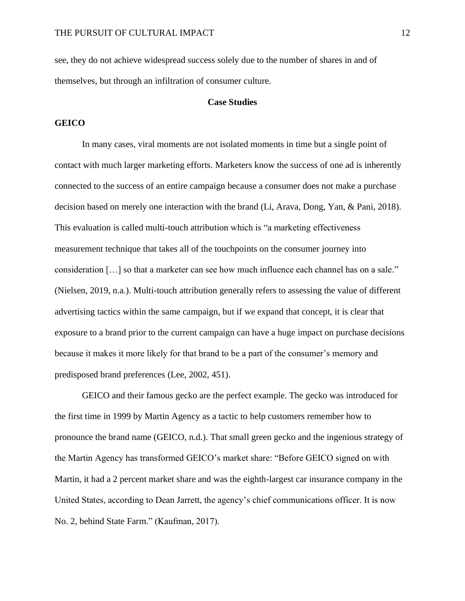see, they do not achieve widespread success solely due to the number of shares in and of themselves, but through an infiltration of consumer culture.

#### **Case Studies**

### **GEICO**

In many cases, viral moments are not isolated moments in time but a single point of contact with much larger marketing efforts. Marketers know the success of one ad is inherently connected to the success of an entire campaign because a consumer does not make a purchase decision based on merely one interaction with the brand (Li, Arava, Dong, Yan, & Pani, 2018). This evaluation is called multi-touch attribution which is "a marketing effectiveness measurement technique that takes all of the touchpoints on the consumer journey into consideration […] so that a marketer can see how much influence each channel has on a sale." (Nielsen, 2019, n.a.). Multi-touch attribution generally refers to assessing the value of different advertising tactics within the same campaign, but if we expand that concept, it is clear that exposure to a brand prior to the current campaign can have a huge impact on purchase decisions because it makes it more likely for that brand to be a part of the consumer's memory and predisposed brand preferences (Lee, 2002, 451).

GEICO and their famous gecko are the perfect example. The gecko was introduced for the first time in 1999 by Martin Agency as a tactic to help customers remember how to pronounce the brand name (GEICO, n.d.). That small green gecko and the ingenious strategy of the Martin Agency has transformed GEICO's market share: "Before GEICO signed on with Martin, it had a 2 percent market share and was the eighth-largest car insurance company in the United States, according to Dean Jarrett, the agency's chief communications officer. It is now No. 2, behind State Farm." (Kaufman, 2017).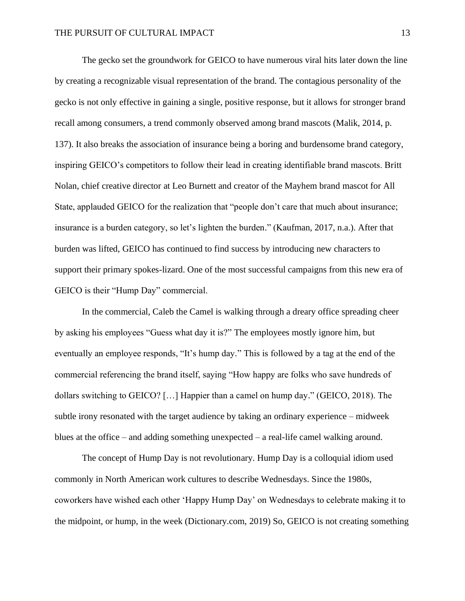The gecko set the groundwork for GEICO to have numerous viral hits later down the line by creating a recognizable visual representation of the brand. The contagious personality of the gecko is not only effective in gaining a single, positive response, but it allows for stronger brand recall among consumers, a trend commonly observed among brand mascots (Malik, 2014, p. 137). It also breaks the association of insurance being a boring and burdensome brand category, inspiring GEICO's competitors to follow their lead in creating identifiable brand mascots. Britt Nolan, chief creative director at Leo Burnett and creator of the Mayhem brand mascot for All State, applauded GEICO for the realization that "people don't care that much about insurance; insurance is a burden category, so let's lighten the burden." (Kaufman, 2017, n.a.). After that burden was lifted, GEICO has continued to find success by introducing new characters to support their primary spokes-lizard. One of the most successful campaigns from this new era of GEICO is their "Hump Day" commercial.

In the commercial, Caleb the Camel is walking through a dreary office spreading cheer by asking his employees "Guess what day it is?" The employees mostly ignore him, but eventually an employee responds, "It's hump day." This is followed by a tag at the end of the commercial referencing the brand itself, saying "How happy are folks who save hundreds of dollars switching to GEICO? […] Happier than a camel on hump day." (GEICO, 2018). The subtle irony resonated with the target audience by taking an ordinary experience – midweek blues at the office – and adding something unexpected – a real-life camel walking around.

The concept of Hump Day is not revolutionary. Hump Day is a colloquial idiom used commonly in North American work cultures to describe Wednesdays. Since the 1980s, coworkers have wished each other 'Happy Hump Day' on Wednesdays to celebrate making it to the midpoint, or hump, in the week (Dictionary.com, 2019) So, GEICO is not creating something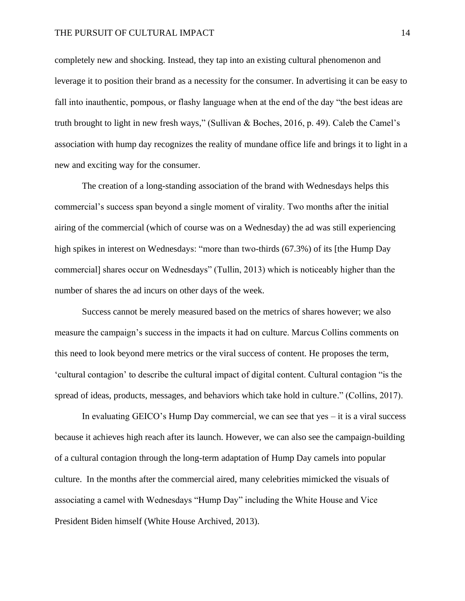#### THE PURSUIT OF CULTURAL IMPACT 14

completely new and shocking. Instead, they tap into an existing cultural phenomenon and leverage it to position their brand as a necessity for the consumer. In advertising it can be easy to fall into inauthentic, pompous, or flashy language when at the end of the day "the best ideas are truth brought to light in new fresh ways," (Sullivan & Boches, 2016, p. 49). Caleb the Camel's association with hump day recognizes the reality of mundane office life and brings it to light in a new and exciting way for the consumer.

The creation of a long-standing association of the brand with Wednesdays helps this commercial's success span beyond a single moment of virality. Two months after the initial airing of the commercial (which of course was on a Wednesday) the ad was still experiencing high spikes in interest on Wednesdays: "more than two-thirds (67.3%) of its [the Hump Day commercial] shares occur on Wednesdays" (Tullin, 2013) which is noticeably higher than the number of shares the ad incurs on other days of the week.

Success cannot be merely measured based on the metrics of shares however; we also measure the campaign's success in the impacts it had on culture. Marcus Collins comments on this need to look beyond mere metrics or the viral success of content. He proposes the term, 'cultural contagion' to describe the cultural impact of digital content. Cultural contagion "is the spread of ideas, products, messages, and behaviors which take hold in culture." (Collins, 2017).

In evaluating GEICO's Hump Day commercial, we can see that yes – it is a viral success because it achieves high reach after its launch. However, we can also see the campaign-building of a cultural contagion through the long-term adaptation of Hump Day camels into popular culture. In the months after the commercial aired, many celebrities mimicked the visuals of associating a camel with Wednesdays "Hump Day" including the White House and Vice President Biden himself (White House Archived, 2013).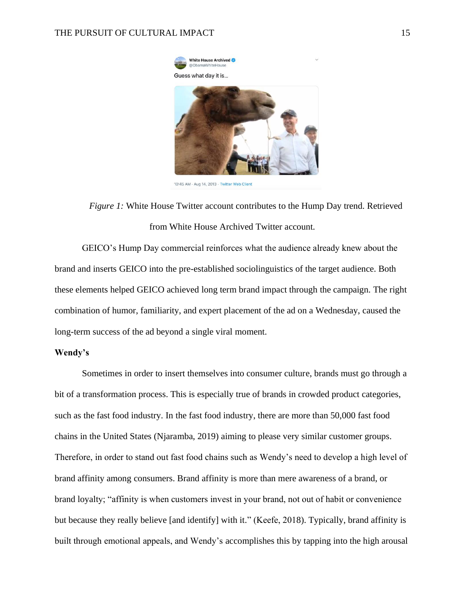

<sup>10:45</sup> AM - Aug 14, 2013 - Twitter Web Client

*Figure 1:* White House Twitter account contributes to the Hump Day trend. Retrieved from White House Archived Twitter account.

GEICO's Hump Day commercial reinforces what the audience already knew about the brand and inserts GEICO into the pre-established sociolinguistics of the target audience. Both these elements helped GEICO achieved long term brand impact through the campaign. The right combination of humor, familiarity, and expert placement of the ad on a Wednesday, caused the long-term success of the ad beyond a single viral moment.

#### **Wendy's**

Sometimes in order to insert themselves into consumer culture, brands must go through a bit of a transformation process. This is especially true of brands in crowded product categories, such as the fast food industry. In the fast food industry, there are more than 50,000 fast food chains in the United States (Njaramba, 2019) aiming to please very similar customer groups. Therefore, in order to stand out fast food chains such as Wendy's need to develop a high level of brand affinity among consumers. Brand affinity is more than mere awareness of a brand, or brand loyalty; "affinity is when customers invest in your brand, not out of habit or convenience but because they really believe [and identify] with it." (Keefe, 2018). Typically, brand affinity is built through emotional appeals, and Wendy's accomplishes this by tapping into the high arousal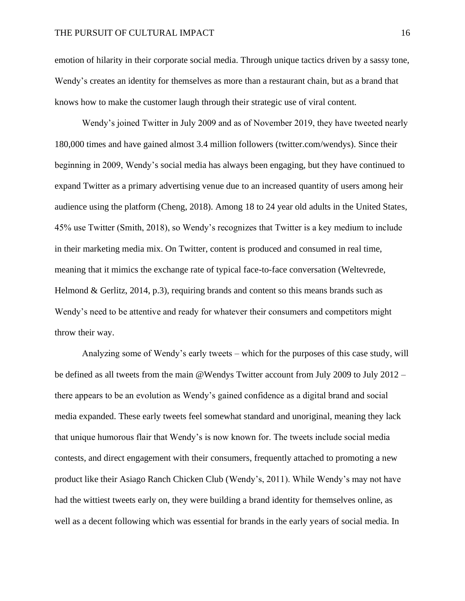emotion of hilarity in their corporate social media. Through unique tactics driven by a sassy tone, Wendy's creates an identity for themselves as more than a restaurant chain, but as a brand that knows how to make the customer laugh through their strategic use of viral content.

Wendy's joined Twitter in July 2009 and as of November 2019, they have tweeted nearly 180,000 times and have gained almost 3.4 million followers (twitter.com/wendys). Since their beginning in 2009, Wendy's social media has always been engaging, but they have continued to expand Twitter as a primary advertising venue due to an increased quantity of users among heir audience using the platform (Cheng, 2018). Among 18 to 24 year old adults in the United States, 45% use Twitter (Smith, 2018), so Wendy's recognizes that Twitter is a key medium to include in their marketing media mix. On Twitter, content is produced and consumed in real time, meaning that it mimics the exchange rate of typical face-to-face conversation (Weltevrede, Helmond & Gerlitz,  $2014$ , p.3), requiring brands and content so this means brands such as Wendy's need to be attentive and ready for whatever their consumers and competitors might throw their way.

Analyzing some of Wendy's early tweets – which for the purposes of this case study, will be defined as all tweets from the main @Wendys Twitter account from July 2009 to July 2012 – there appears to be an evolution as Wendy's gained confidence as a digital brand and social media expanded. These early tweets feel somewhat standard and unoriginal, meaning they lack that unique humorous flair that Wendy's is now known for. The tweets include social media contests, and direct engagement with their consumers, frequently attached to promoting a new product like their Asiago Ranch Chicken Club (Wendy's, 2011). While Wendy's may not have had the wittiest tweets early on, they were building a brand identity for themselves online, as well as a decent following which was essential for brands in the early years of social media. In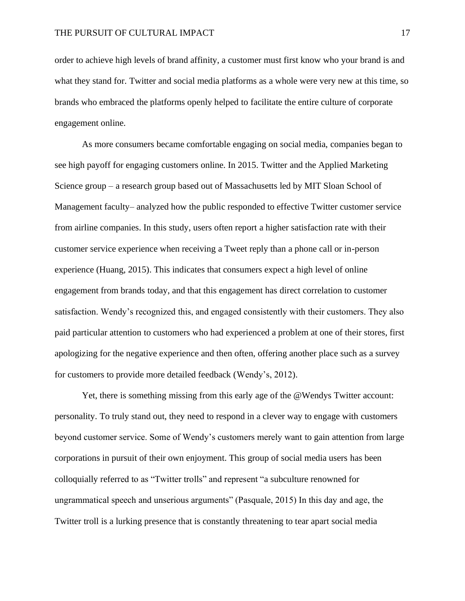order to achieve high levels of brand affinity, a customer must first know who your brand is and what they stand for. Twitter and social media platforms as a whole were very new at this time, so brands who embraced the platforms openly helped to facilitate the entire culture of corporate engagement online.

As more consumers became comfortable engaging on social media, companies began to see high payoff for engaging customers online. In 2015. Twitter and the Applied Marketing Science group – a research group based out of Massachusetts led by MIT Sloan School of Management faculty– analyzed how the public responded to effective Twitter customer service from airline companies. In this study, users often report a higher satisfaction rate with their customer service experience when receiving a Tweet reply than a phone call or in-person experience (Huang, 2015). This indicates that consumers expect a high level of online engagement from brands today, and that this engagement has direct correlation to customer satisfaction. Wendy's recognized this, and engaged consistently with their customers. They also paid particular attention to customers who had experienced a problem at one of their stores, first apologizing for the negative experience and then often, offering another place such as a survey for customers to provide more detailed feedback (Wendy's, 2012).

Yet, there is something missing from this early age of the @Wendys Twitter account: personality. To truly stand out, they need to respond in a clever way to engage with customers beyond customer service. Some of Wendy's customers merely want to gain attention from large corporations in pursuit of their own enjoyment. This group of social media users has been colloquially referred to as "Twitter trolls" and represent "a subculture renowned for ungrammatical speech and unserious arguments" (Pasquale, 2015) In this day and age, the Twitter troll is a lurking presence that is constantly threatening to tear apart social media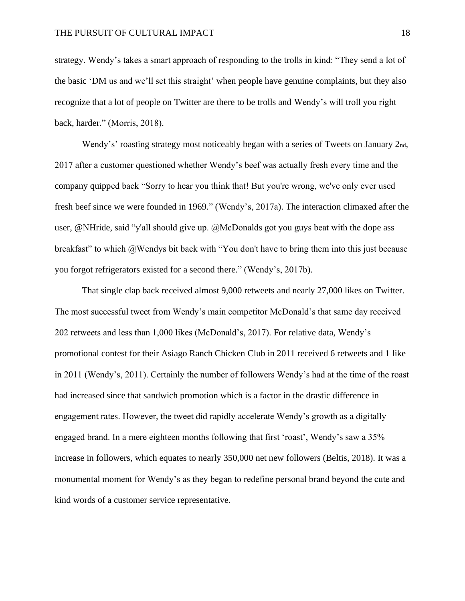strategy. Wendy's takes a smart approach of responding to the trolls in kind: "They send a lot of the basic 'DM us and we'll set this straight' when people have genuine complaints, but they also recognize that a lot of people on Twitter are there to be trolls and Wendy's will troll you right back, harder." (Morris, 2018).

Wendy's' roasting strategy most noticeably began with a series of Tweets on January 2nd, 2017 after a customer questioned whether Wendy's beef was actually fresh every time and the company quipped back "Sorry to hear you think that! But you're wrong, we've only ever used fresh beef since we were founded in 1969." (Wendy's, 2017a). The interaction climaxed after the user, @NHride, said "y'all should give up. @McDonalds got you guys beat with the dope ass breakfast" to which @Wendys bit back with "You don't have to bring them into this just because you forgot refrigerators existed for a second there." (Wendy's, 2017b).

That single clap back received almost 9,000 retweets and nearly 27,000 likes on Twitter. The most successful tweet from Wendy's main competitor McDonald's that same day received 202 retweets and less than 1,000 likes (McDonald's, 2017). For relative data, Wendy's promotional contest for their Asiago Ranch Chicken Club in 2011 received 6 retweets and 1 like in 2011 (Wendy's, 2011). Certainly the number of followers Wendy's had at the time of the roast had increased since that sandwich promotion which is a factor in the drastic difference in engagement rates. However, the tweet did rapidly accelerate Wendy's growth as a digitally engaged brand. In a mere eighteen months following that first 'roast', Wendy's saw a 35% increase in followers, which equates to nearly 350,000 net new followers (Beltis, 2018). It was a monumental moment for Wendy's as they began to redefine personal brand beyond the cute and kind words of a customer service representative.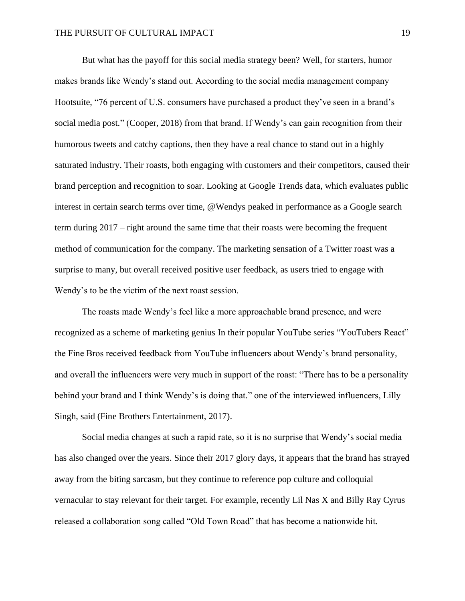But what has the payoff for this social media strategy been? Well, for starters, humor makes brands like Wendy's stand out. According to the social media management company Hootsuite, "76 percent of U.S. consumers have purchased a product they've seen in a brand's social media post." (Cooper, 2018) from that brand. If Wendy's can gain recognition from their humorous tweets and catchy captions, then they have a real chance to stand out in a highly saturated industry. Their roasts, both engaging with customers and their competitors, caused their brand perception and recognition to soar. Looking at Google Trends data, which evaluates public interest in certain search terms over time, @Wendys peaked in performance as a Google search term during 2017 – right around the same time that their roasts were becoming the frequent method of communication for the company. The marketing sensation of a Twitter roast was a surprise to many, but overall received positive user feedback, as users tried to engage with Wendy's to be the victim of the next roast session.

The roasts made Wendy's feel like a more approachable brand presence, and were recognized as a scheme of marketing genius In their popular YouTube series "YouTubers React" the Fine Bros received feedback from YouTube influencers about Wendy's brand personality, and overall the influencers were very much in support of the roast: "There has to be a personality behind your brand and I think Wendy's is doing that." one of the interviewed influencers, Lilly Singh, said (Fine Brothers Entertainment, 2017).

Social media changes at such a rapid rate, so it is no surprise that Wendy's social media has also changed over the years. Since their 2017 glory days, it appears that the brand has strayed away from the biting sarcasm, but they continue to reference pop culture and colloquial vernacular to stay relevant for their target. For example, recently Lil Nas X and Billy Ray Cyrus released a collaboration song called "Old Town Road" that has become a nationwide hit.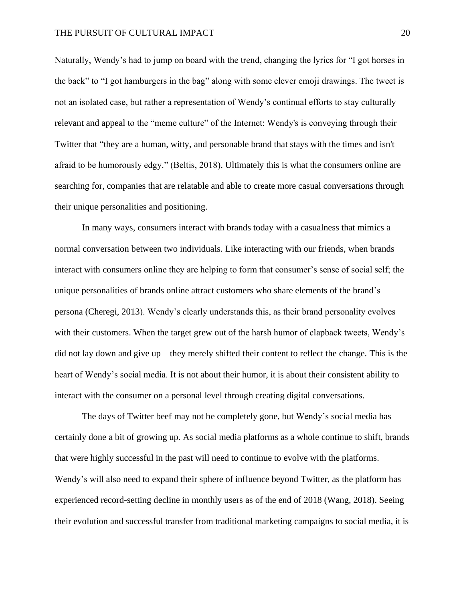Naturally, Wendy's had to jump on board with the trend, changing the lyrics for "I got horses in the back" to "I got hamburgers in the bag" along with some clever emoji drawings. The tweet is not an isolated case, but rather a representation of Wendy's continual efforts to stay culturally relevant and appeal to the "meme culture" of the Internet: Wendy's is conveying through their Twitter that "they are a human, witty, and personable brand that stays with the times and isn't afraid to be humorously edgy." (Beltis, 2018). Ultimately this is what the consumers online are searching for, companies that are relatable and able to create more casual conversations through their unique personalities and positioning.

In many ways, consumers interact with brands today with a casualness that mimics a normal conversation between two individuals. Like interacting with our friends, when brands interact with consumers online they are helping to form that consumer's sense of social self; the unique personalities of brands online attract customers who share elements of the brand's persona (Cheregi, 2013). Wendy's clearly understands this, as their brand personality evolves with their customers. When the target grew out of the harsh humor of clapback tweets, Wendy's did not lay down and give up – they merely shifted their content to reflect the change. This is the heart of Wendy's social media. It is not about their humor, it is about their consistent ability to interact with the consumer on a personal level through creating digital conversations.

The days of Twitter beef may not be completely gone, but Wendy's social media has certainly done a bit of growing up. As social media platforms as a whole continue to shift, brands that were highly successful in the past will need to continue to evolve with the platforms. Wendy's will also need to expand their sphere of influence beyond Twitter, as the platform has experienced record-setting decline in monthly users as of the end of 2018 (Wang, 2018). Seeing their evolution and successful transfer from traditional marketing campaigns to social media, it is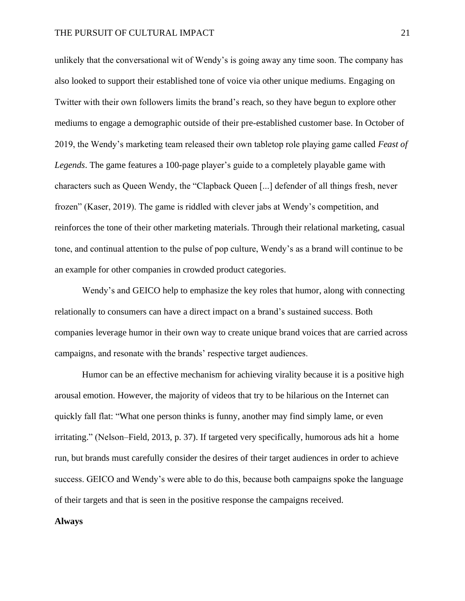unlikely that the conversational wit of Wendy's is going away any time soon. The company has also looked to support their established tone of voice via other unique mediums. Engaging on Twitter with their own followers limits the brand's reach, so they have begun to explore other mediums to engage a demographic outside of their pre-established customer base. In October of 2019, the Wendy's marketing team released their own tabletop role playing game called *Feast of Legends*. The game features a 100-page player's guide to a completely playable game with characters such as Queen Wendy, the "Clapback Queen [...] defender of all things fresh, never frozen" (Kaser, 2019). The game is riddled with clever jabs at Wendy's competition, and reinforces the tone of their other marketing materials. Through their relational marketing, casual tone, and continual attention to the pulse of pop culture, Wendy's as a brand will continue to be an example for other companies in crowded product categories.

Wendy's and GEICO help to emphasize the key roles that humor, along with connecting relationally to consumers can have a direct impact on a brand's sustained success. Both companies leverage humor in their own way to create unique brand voices that are carried across campaigns, and resonate with the brands' respective target audiences.

Humor can be an effective mechanism for achieving virality because it is a positive high arousal emotion. However, the majority of videos that try to be hilarious on the Internet can quickly fall flat: "What one person thinks is funny, another may find simply lame, or even irritating." (Nelson–Field, 2013, p. 37). If targeted very specifically, humorous ads hit a home run, but brands must carefully consider the desires of their target audiences in order to achieve success. GEICO and Wendy's were able to do this, because both campaigns spoke the language of their targets and that is seen in the positive response the campaigns received.

#### **Always**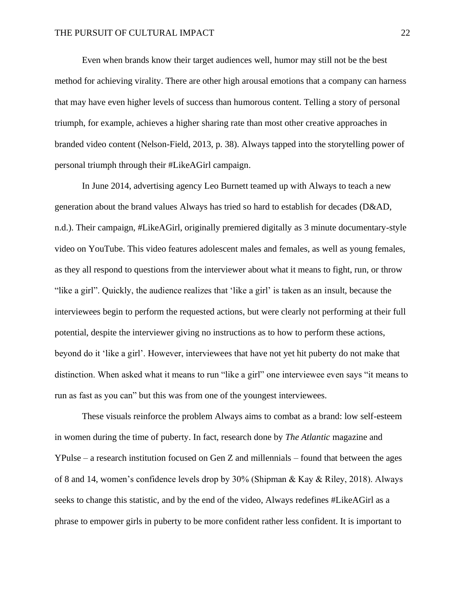Even when brands know their target audiences well, humor may still not be the best method for achieving virality. There are other high arousal emotions that a company can harness that may have even higher levels of success than humorous content. Telling a story of personal triumph, for example, achieves a higher sharing rate than most other creative approaches in branded video content (Nelson-Field, 2013, p. 38). Always tapped into the storytelling power of personal triumph through their #LikeAGirl campaign.

In June 2014, advertising agency Leo Burnett teamed up with Always to teach a new generation about the brand values Always has tried so hard to establish for decades (D&AD, n.d.). Their campaign, #LikeAGirl, originally premiered digitally as 3 minute documentary-style video on YouTube. This video features adolescent males and females, as well as young females, as they all respond to questions from the interviewer about what it means to fight, run, or throw "like a girl". Quickly, the audience realizes that 'like a girl' is taken as an insult, because the interviewees begin to perform the requested actions, but were clearly not performing at their full potential, despite the interviewer giving no instructions as to how to perform these actions, beyond do it 'like a girl'. However, interviewees that have not yet hit puberty do not make that distinction. When asked what it means to run "like a girl" one interviewee even says "it means to run as fast as you can" but this was from one of the youngest interviewees.

These visuals reinforce the problem Always aims to combat as a brand: low self-esteem in women during the time of puberty. In fact, research done by *The Atlantic* magazine and YPulse – a research institution focused on Gen Z and millennials – found that between the ages of 8 and 14, women's confidence levels drop by 30% (Shipman & Kay & Riley, 2018). Always seeks to change this statistic, and by the end of the video, Always redefines #LikeAGirl as a phrase to empower girls in puberty to be more confident rather less confident. It is important to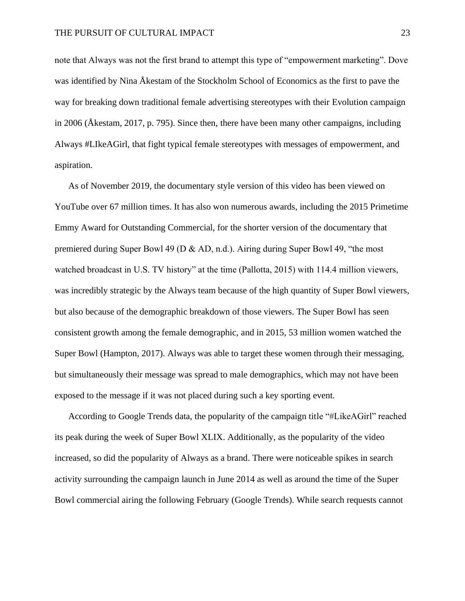note that Always was not the first brand to attempt this type of "empowerment marketing". Dove was identified by Nina Åkestam of the Stockholm School of Economics as the first to pave the way for breaking down traditional female advertising stereotypes with their Evolution campaign in 2006 (Åkestam, 2017, p. 795). Since then, there have been many other campaigns, including Always #LIkeAGirl, that fight typical female stereotypes with messages of empowerment, and aspiration.

As of November 2019, the documentary style version of this video has been viewed on YouTube over 67 million times. It has also won numerous awards, including the 2015 Primetime Emmy Award for Outstanding Commercial, for the shorter version of the documentary that premiered during Super Bowl 49 (D & AD, n.d.). Airing during Super Bowl 49, "the most watched broadcast in U.S. TV history" at the time (Pallotta, 2015) with 114.4 million viewers, was incredibly strategic by the Always team because of the high quantity of Super Bowl viewers, but also because of the demographic breakdown of those viewers. The Super Bowl has seen consistent growth among the female demographic, and in 2015, 53 million women watched the Super Bowl (Hampton, 2017). Always was able to target these women through their messaging, but simultaneously their message was spread to male demographics, which may not have been exposed to the message if it was not placed during such a key sporting event.

According to Google Trends data, the popularity of the campaign title "#LikeAGirl" reached its peak during the week of Super Bowl XLIX. Additionally, as the popularity of the video increased, so did the popularity of Always as a brand. There were noticeable spikes in search activity surrounding the campaign launch in June 2014 as well as around the time of the Super Bowl commercial airing the following February (Google Trends). While search requests cannot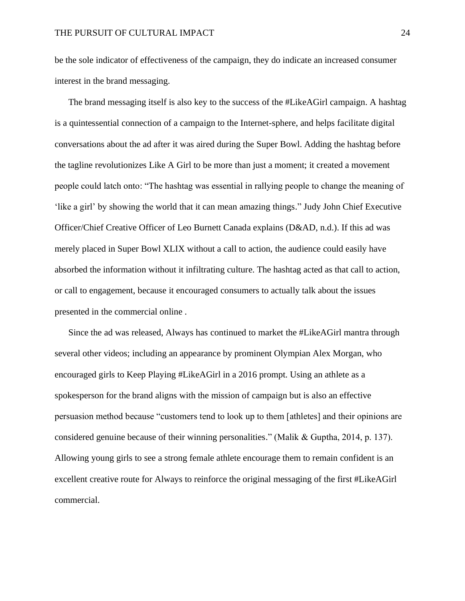be the sole indicator of effectiveness of the campaign, they do indicate an increased consumer interest in the brand messaging.

The brand messaging itself is also key to the success of the #LikeAGirl campaign. A hashtag is a quintessential connection of a campaign to the Internet-sphere, and helps facilitate digital conversations about the ad after it was aired during the Super Bowl. Adding the hashtag before the tagline revolutionizes Like A Girl to be more than just a moment; it created a movement people could latch onto: "The hashtag was essential in rallying people to change the meaning of 'like a girl' by showing the world that it can mean amazing things." Judy John Chief Executive Officer/Chief Creative Officer of Leo Burnett Canada explains (D&AD, n.d.). If this ad was merely placed in Super Bowl XLIX without a call to action, the audience could easily have absorbed the information without it infiltrating culture. The hashtag acted as that call to action, or call to engagement, because it encouraged consumers to actually talk about the issues presented in the commercial online .

Since the ad was released, Always has continued to market the #LikeAGirl mantra through several other videos; including an appearance by prominent Olympian Alex Morgan, who encouraged girls to Keep Playing #LikeAGirl in a 2016 prompt. Using an athlete as a spokesperson for the brand aligns with the mission of campaign but is also an effective persuasion method because "customers tend to look up to them [athletes] and their opinions are considered genuine because of their winning personalities." (Malik & Guptha, 2014, p. 137). Allowing young girls to see a strong female athlete encourage them to remain confident is an excellent creative route for Always to reinforce the original messaging of the first #LikeAGirl commercial.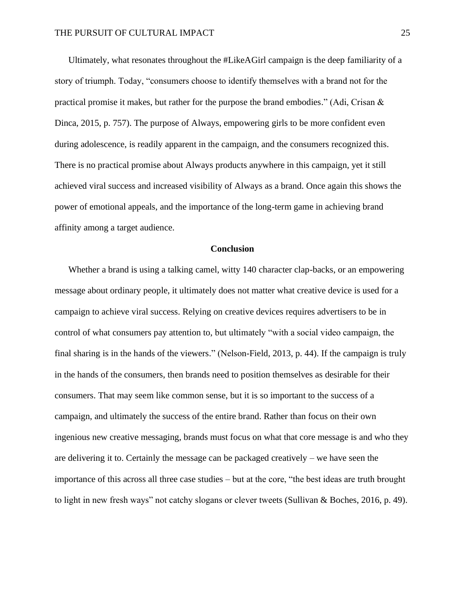Ultimately, what resonates throughout the #LikeAGirl campaign is the deep familiarity of a story of triumph. Today, "consumers choose to identify themselves with a brand not for the practical promise it makes, but rather for the purpose the brand embodies." (Adi, Crisan  $\&$ Dinca, 2015, p. 757). The purpose of Always, empowering girls to be more confident even during adolescence, is readily apparent in the campaign, and the consumers recognized this. There is no practical promise about Always products anywhere in this campaign, yet it still achieved viral success and increased visibility of Always as a brand. Once again this shows the power of emotional appeals, and the importance of the long-term game in achieving brand affinity among a target audience.

#### **Conclusion**

Whether a brand is using a talking camel, witty 140 character clap-backs, or an empowering message about ordinary people, it ultimately does not matter what creative device is used for a campaign to achieve viral success. Relying on creative devices requires advertisers to be in control of what consumers pay attention to, but ultimately "with a social video campaign, the final sharing is in the hands of the viewers." (Nelson-Field, 2013, p. 44). If the campaign is truly in the hands of the consumers, then brands need to position themselves as desirable for their consumers. That may seem like common sense, but it is so important to the success of a campaign, and ultimately the success of the entire brand. Rather than focus on their own ingenious new creative messaging, brands must focus on what that core message is and who they are delivering it to. Certainly the message can be packaged creatively – we have seen the importance of this across all three case studies – but at the core, "the best ideas are truth brought to light in new fresh ways" not catchy slogans or clever tweets (Sullivan & Boches, 2016, p. 49).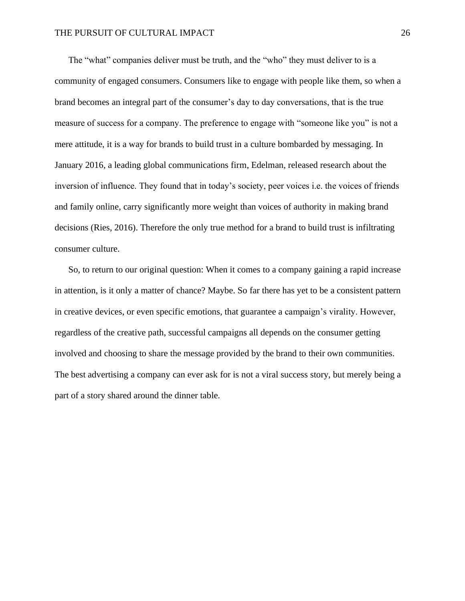The "what" companies deliver must be truth, and the "who" they must deliver to is a community of engaged consumers. Consumers like to engage with people like them, so when a brand becomes an integral part of the consumer's day to day conversations, that is the true measure of success for a company. The preference to engage with "someone like you" is not a mere attitude, it is a way for brands to build trust in a culture bombarded by messaging. In January 2016, a leading global communications firm, Edelman, released research about the inversion of influence. They found that in today's society, peer voices i.e. the voices of friends and family online, carry significantly more weight than voices of authority in making brand decisions (Ries, 2016). Therefore the only true method for a brand to build trust is infiltrating consumer culture.

So, to return to our original question: When it comes to a company gaining a rapid increase in attention, is it only a matter of chance? Maybe. So far there has yet to be a consistent pattern in creative devices, or even specific emotions, that guarantee a campaign's virality. However, regardless of the creative path, successful campaigns all depends on the consumer getting involved and choosing to share the message provided by the brand to their own communities. The best advertising a company can ever ask for is not a viral success story, but merely being a part of a story shared around the dinner table.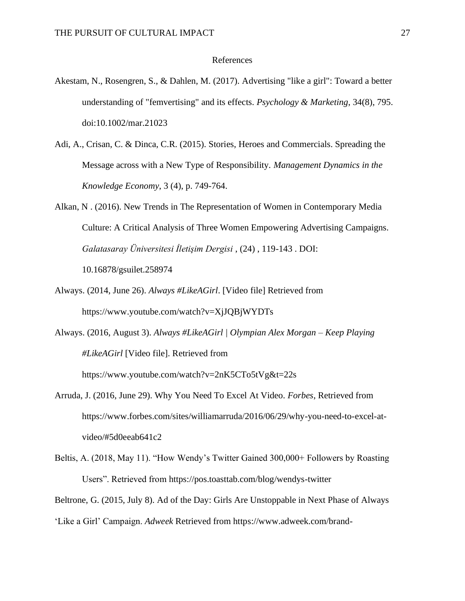#### References

- Akestam, N., Rosengren, S., & Dahlen, M. (2017). Advertising "like a girl": Toward a better understanding of "femvertising" and its effects. *Psychology & Marketing*, 34(8), 795. doi:10.1002/mar.21023
- Adi, A., Crisan, C. & Dinca, C.R. (2015). Stories, Heroes and Commercials. Spreading the Message across with a New Type of Responsibility. *Management Dynamics in the Knowledge Economy*, 3 (4), p. 749-764.
- Alkan, N . (2016). New Trends in The Representation of Women in Contemporary Media Culture: A Critical Analysis of Three Women Empowering Advertising Campaigns. *Galatasaray Üniversitesi İletişim Dergisi* , (24) , 119-143 . DOI: 10.16878/gsuilet.258974
- Always. (2014, June 26). *Always #LikeAGirl*. [Video file] Retrieved from <https://www.youtube.com/watch?v=XjJQBjWYDTs>
- Always. (2016, August 3). *Always #LikeAGirl | Olympian Alex Morgan – Keep Playing #LikeAGirl* [Video file]. Retrieved from

<https://www.youtube.com/watch?v=2nK5CTo5tVg&t=22s>

- Arruda, J. (2016, June 29). Why You Need To Excel At Video. *Forbes*, Retrieved from [https://www.forbes.com/sites/williamarruda/2016/06/29/why-you-need-to-excel-at](https://www.forbes.com/sites/williamarruda/2016/06/29/why-you-need-to-excel-at-video/#5d0eeab641c2)[video/#5d0eeab641c2](https://www.forbes.com/sites/williamarruda/2016/06/29/why-you-need-to-excel-at-video/#5d0eeab641c2)
- Beltis, A. (2018, May 11). "How Wendy's Twitter Gained 300,000+ Followers by Roasting Users". Retrieved from <https://pos.toasttab.com/blog/wendys-twitter>

Beltrone, G. (2015, July 8). Ad of the Day: Girls Are Unstoppable in Next Phase of Always

'Like a Girl' Campaign. *Adweek* Retrieved from https://www.adweek.com/brand-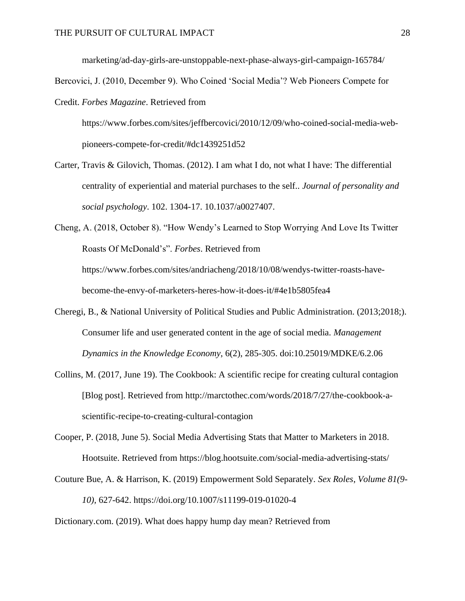marketing/ad-day-girls-are-unstoppable-next-phase-always-girl-campaign-165784/

Bercovici, J. (2010, December 9). Who Coined 'Social Media'? Web Pioneers Compete for

Credit. *Forbes Magazine*. Retrieved from

[https://www.forbes.com/sites/jeffbercovici/2010/12/09/who-coined-social-media-web](https://www.forbes.com/sites/jeffbercovici/2010/12/09/who-coined-social-media-web-pioneers-compete-for-credit/#dc1439251d52)[pioneers-compete-for-credit/#dc1439251d52](https://www.forbes.com/sites/jeffbercovici/2010/12/09/who-coined-social-media-web-pioneers-compete-for-credit/#dc1439251d52)

Carter, Travis & Gilovich, Thomas. (2012). I am what I do, not what I have: The differential centrality of experiential and material purchases to the self.. *Journal of personality and social psychology*. 102. 1304-17. 10.1037/a0027407.

Cheng, A. (2018, October 8). "How Wendy's Learned to Stop Worrying And Love Its Twitter Roasts Of McDonald's". *Forbes*. Retrieved from [https://www.forbes.com/sites/andriacheng/2018/10/08/wendys-twitter-roasts-have](https://www.forbes.com/sites/andriacheng/2018/10/08/wendys-twitter-roasts-have-become-the-envy-of-marketers-heres-how-it-does-it/#4e1b5805fea4)[become-the-envy-of-marketers-heres-how-it-does-it/#4e1b5805fea4](https://www.forbes.com/sites/andriacheng/2018/10/08/wendys-twitter-roasts-have-become-the-envy-of-marketers-heres-how-it-does-it/#4e1b5805fea4)

- Cheregi, B., & National University of Political Studies and Public Administration. (2013;2018;). Consumer life and user generated content in the age of social media. *Management Dynamics in the Knowledge Economy*, 6(2), 285-305. doi:10.25019/MDKE/6.2.06
- Collins, M. (2017, June 19). The Cookbook: A scientific recipe for creating cultural contagion [Blog post]. Retrieved from [http://marctothec.com/words/2018/7/27/the-cookbook-a](http://marctothec.com/words/2018/7/27/the-cookbook-a-scientific-recipe-to-creating-cultural-contagion)[scientific-recipe-to-creating-cultural-contagion](http://marctothec.com/words/2018/7/27/the-cookbook-a-scientific-recipe-to-creating-cultural-contagion)
- Cooper, P. (2018, June 5). Social Media Advertising Stats that Matter to Marketers in 2018. Hootsuite. Retrieved from https://blog.hootsuite.com/social-media-advertising-stats/
- Couture Bue, A. & Harrison, K. (2019) Empowerment Sold Separately. *Sex Roles*, *Volume 81(9- 10),* 627-642. <https://doi.org/10.1007/s11199-019-01020-4>

Dictionary.com. (2019). What does happy hump day mean? Retrieved from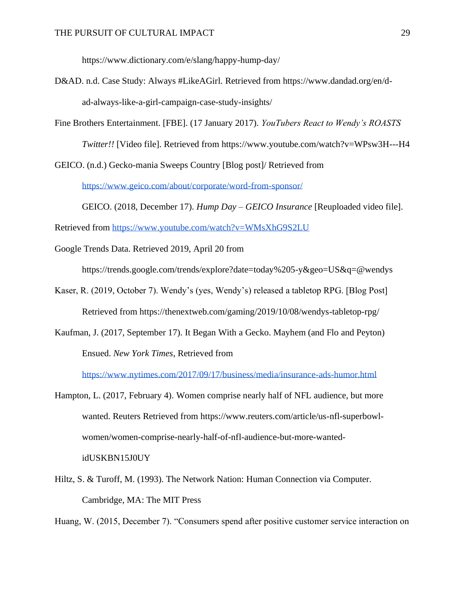<https://www.dictionary.com/e/slang/happy-hump-day/>

- D&AD. n.d. Case Study: Always #LikeAGirl. Retrieved from [https://www.dandad.org/en/d](https://www.dandad.org/en/d-)ad-always-like-a-girl-campaign-case-study-insights/
- Fine Brothers Entertainment. [FBE]. (17 January 2017). *YouTubers React to Wendy's ROASTS Twitter!!* [Video file]. Retrieved from <https://www.youtube.com/watch?v=WPsw3H---H4>

GEICO. (n.d.) Gecko-mania Sweeps Country [Blog post]/ Retrieved from

<https://www.geico.com/about/corporate/word-from-sponsor/>

GEICO. (2018, December 17). *Hump Day – GEICO Insurance* [Reuploaded video file].

Retrieved from <https://www.youtube.com/watch?v=WMsXhG9S2LU>

Google Trends Data. Retrieved 2019, April 20 from

<https://trends.google.com/trends/explore?date=today%205-y&geo=US&q=@wendys>

- Kaser, R. (2019, October 7). Wendy's (yes, Wendy's) released a tabletop RPG. [Blog Post] Retrieved from <https://thenextweb.com/gaming/2019/10/08/wendys-tabletop-rpg/>
- Kaufman, J. (2017, September 17). It Began With a Gecko. Mayhem (and Flo and Peyton) Ensued. *New York Times*, Retrieved from

<https://www.nytimes.com/2017/09/17/business/media/insurance-ads-humor.html>

- Hampton, L. (2017, February 4). Women comprise nearly half of NFL audience, but more wanted. Reuters Retrieved from [https://www.reuters.com/article/us-nfl-superbowl](https://www.reuters.com/article/us-nfl-superbowl-women/women-comprise-nearly-half-of-nfl-audience-but-more-wanted-idUSKBN15J0UY)[women/women-comprise-nearly-half-of-nfl-audience-but-more-wanted](https://www.reuters.com/article/us-nfl-superbowl-women/women-comprise-nearly-half-of-nfl-audience-but-more-wanted-idUSKBN15J0UY)[idUSKBN15J0UY](https://www.reuters.com/article/us-nfl-superbowl-women/women-comprise-nearly-half-of-nfl-audience-but-more-wanted-idUSKBN15J0UY)
- Hiltz, S. & Turoff, M. (1993). The Network Nation: Human Connection via Computer. Cambridge, MA: The MIT Press

Huang, W. (2015, December 7). "Consumers spend after positive customer service interaction on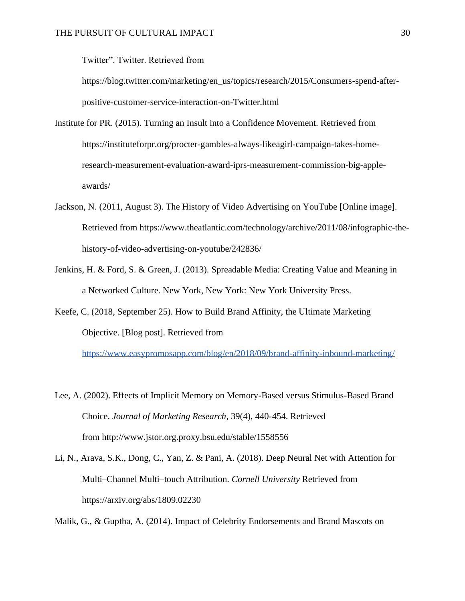Twitter". Twitter. Retrieved from

[https://blog.twitter.com/marketing/en\\_us/topics/research/2015/Consumers-spend-after](https://blog.twitter.com/marketing/en_us/topics/research/2015/Consumers-spend-after-positive-customer-service-interaction-on-Twitter.html)[positive-customer-service-interaction-on-Twitter.html](https://blog.twitter.com/marketing/en_us/topics/research/2015/Consumers-spend-after-positive-customer-service-interaction-on-Twitter.html)

- Institute for PR. (2015). Turning an Insult into a Confidence Movement. Retrieved from [https://instituteforpr.org/procter-gambles-always-likeagirl-campaign-takes-home](https://instituteforpr.org/procter-gambles-always-likeagirl-campaign-takes-home-research-measurement-evaluation-award-iprs-measurement-commission-big-apple-awards/)[research-measurement-evaluation-award-iprs-measurement-commission-big-apple](https://instituteforpr.org/procter-gambles-always-likeagirl-campaign-takes-home-research-measurement-evaluation-award-iprs-measurement-commission-big-apple-awards/)[awards/](https://instituteforpr.org/procter-gambles-always-likeagirl-campaign-takes-home-research-measurement-evaluation-award-iprs-measurement-commission-big-apple-awards/)
- Jackson, N. (2011, August 3). The History of Video Advertising on YouTube [Online image]. Retrieved from [https://www.theatlantic.com/technology/archive/2011/08/infographic-the](https://www.theatlantic.com/technology/archive/2011/08/infographic-the-history-of-video-advertising-on-youtube/242836/)[history-of-video-advertising-on-youtube/242836/](https://www.theatlantic.com/technology/archive/2011/08/infographic-the-history-of-video-advertising-on-youtube/242836/)
- Jenkins, H. & Ford, S. & Green, J. (2013). Spreadable Media: Creating Value and Meaning in a Networked Culture. New York, New York: New York University Press.
- Keefe, C. (2018, September 25). How to Build Brand Affinity, the Ultimate Marketing Objective. [Blog post]. Retrieved from

<https://www.easypromosapp.com/blog/en/2018/09/brand-affinity-inbound-marketing/>

- Lee, A. (2002). Effects of Implicit Memory on Memory-Based versus Stimulus-Based Brand Choice. *Journal of Marketing Research*, 39(4), 440-454. Retrieved from<http://www.jstor.org.proxy.bsu.edu/stable/1558556>
- Li, N., Arava, S.K., Dong, C., Yan, Z. & Pani, A. (2018). Deep Neural Net with Attention for Multi–Channel Multi–touch Attribution. *Cornell University* Retrieved from <https://arxiv.org/abs/1809.02230>

Malik, G., & Guptha, A. (2014). Impact of Celebrity Endorsements and Brand Mascots on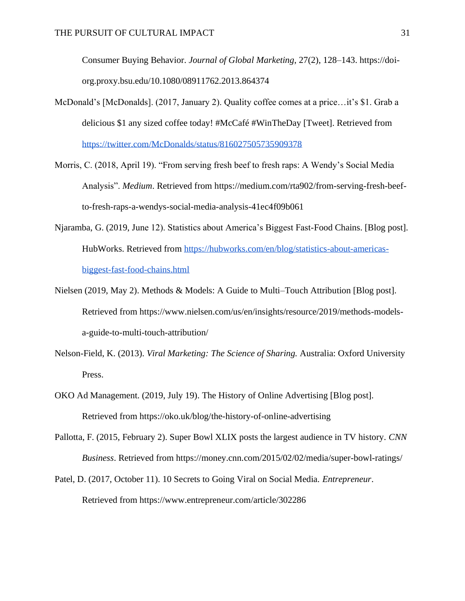Consumer Buying Behavior. *Journal of Global Marketing*, 27(2), 128–143. [https://doi](https://doi-org.proxy.bsu.edu/10.1080/08911762.2013.864374)[org.proxy.bsu.edu/10.1080/08911762.2013.864374](https://doi-org.proxy.bsu.edu/10.1080/08911762.2013.864374)

- McDonald's [McDonalds]. (2017, January 2). Quality coffee comes at a price…it's \$1. Grab a delicious \$1 any sized coffee today! #McCafé #WinTheDay [Tweet]. Retrieved fro[m](https://twitter.com/McDonalds/status/816027505735909378) <https://twitter.com/McDonalds/status/816027505735909378>
- Morris, C. (2018, April 19). "From serving fresh beef to fresh raps: A Wendy's Social Media Analysis". *Medium*. Retrieved from [https://medium.com/rta902/from-serving-fresh-beef](https://medium.com/rta902/from-serving-fresh-beef-%0bto-fresh-raps-a-wendys-social-media-analysis-41ec4f09b061)[to-fresh-raps-a-wendys-social-media-analysis-41ec4f09b061](https://medium.com/rta902/from-serving-fresh-beef-%0bto-fresh-raps-a-wendys-social-media-analysis-41ec4f09b061)
- Njaramba, G. (2019, June 12). Statistics about America's Biggest Fast-Food Chains. [Blog post]. HubWorks. Retrieved fro[m](https://hubworks.com/en/blog/statistics-about-americas-biggest-fast-food-chains.html) [https://hubworks.com/en/blog/statistics-about-americas](https://hubworks.com/en/blog/statistics-about-americas-biggest-fast-food-chains.html)[biggest-fast-food-chains.html](https://hubworks.com/en/blog/statistics-about-americas-biggest-fast-food-chains.html)
- Nielsen (2019, May 2). Methods & Models: A Guide to Multi–Touch Attribution [Blog post]. Retrieved from [https://www.nielsen.com/us/en/insights/resource/2019/methods-models](https://www.nielsen.com/us/en/insights/resource/2019/methods-models-a-guide-to-multi-touch-attribution/)[a-guide-to-multi-touch-attribution/](https://www.nielsen.com/us/en/insights/resource/2019/methods-models-a-guide-to-multi-touch-attribution/)
- Nelson-Field, K. (2013). *Viral Marketing: The Science of Sharing.* Australia: Oxford University Press.
- OKO Ad Management. (2019, July 19). The History of Online Advertising [Blog post]. Retrieved from <https://oko.uk/blog/the-history-of-online-advertising>
- Pallotta, F. (2015, February 2). Super Bowl XLIX posts the largest audience in TV history. *CNN Business*. Retrieved from <https://money.cnn.com/2015/02/02/media/super-bowl-ratings/>
- Patel, D. (2017, October 11). 10 Secrets to Going Viral on Social Media. *Entrepreneur*. Retrieved from <https://www.entrepreneur.com/article/302286>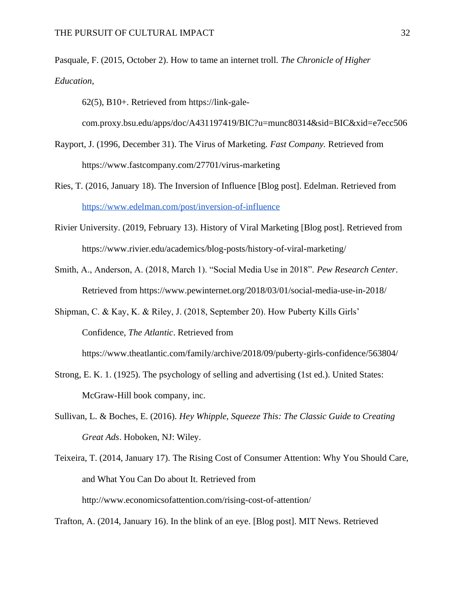Pasquale, F. (2015, October 2). How to tame an internet troll. *The Chronicle of Higher Education*,

62(5), B10+. Retrieved from [https://link-gale-](https://link-gale-com.proxy.bsu.edu/apps/doc/A431197419/BIC?u=munc80314&sid=BIC&xid=e7ecc506)

[com.proxy.bsu.edu/apps/doc/A431197419/BIC?u=munc80314&sid=BIC&xid=e7ecc506](https://link-gale-com.proxy.bsu.edu/apps/doc/A431197419/BIC?u=munc80314&sid=BIC&xid=e7ecc506)

- Rayport, J. (1996, December 31). The Virus of Marketing. *Fast Company.* Retrieved from <https://www.fastcompany.com/27701/virus-marketing>
- Ries, T. (2016, January 18). The Inversion of Influence [Blog post]. Edelman. Retrieved from <https://www.edelman.com/post/inversion-of-influence>
- Rivier University. (2019, February 13). History of Viral Marketing [Blog post]. Retrieved from <https://www.rivier.edu/academics/blog-posts/history-of-viral-marketing/>
- Smith, A., Anderson, A. (2018, March 1). "Social Media Use in 2018". *Pew Research Center*. Retrieved from <https://www.pewinternet.org/2018/03/01/social-media-use-in-2018/>

Shipman, C. & Kay, K. & Riley, J. (2018, September 20). How Puberty Kills Girls' Confidence, *The Atlantic*. Retrieved from <https://www.theatlantic.com/family/archive/2018/09/puberty-girls-confidence/563804/>

- Strong, E. K. 1. (1925). The psychology of selling and advertising (1st ed.). United States: McGraw-Hill book company, inc.
- Sullivan, L. & Boches, E. (2016). *Hey Whipple, Squeeze This: The Classic Guide to Creating Great Ads*. Hoboken, NJ: Wiley.
- Teixeira, T. (2014, January 17). The Rising Cost of Consumer Attention: Why You Should Care, and What You Can Do about It. Retrieved from <http://www.economicsofattention.com/rising-cost-of-attention/>

Trafton, A. (2014, January 16). In the blink of an eye. [Blog post]. MIT News. Retrieved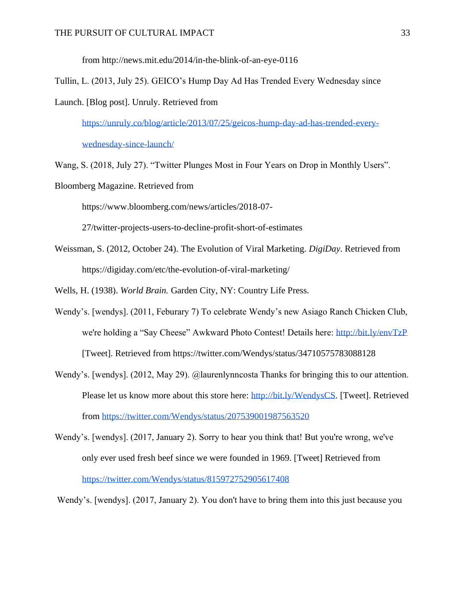from<http://news.mit.edu/2014/in-the-blink-of-an-eye-0116>

Tullin, L. (2013, July 25). GEICO's Hump Day Ad Has Trended Every Wednesday since

Launch. [Blog post]. Unruly. Retrieved from

[https://unruly.co/blog/article/2013/07/25/geicos-hump-day-ad-has-trended-every-](https://unruly.co/blog/article/2013/07/25/geicos-hump-day-ad-has-trended-every-wednesday-since-launch/)

[wednesday-since-launch/](https://unruly.co/blog/article/2013/07/25/geicos-hump-day-ad-has-trended-every-wednesday-since-launch/)

Wang, S. (2018, July 27). "Twitter Plunges Most in Four Years on Drop in Monthly Users".

Bloomberg Magazine. Retrieved from

[https://www.bloomberg.com/news/articles/2018-07-](https://www.bloomberg.com/news/articles/2018-07-%0b27/twitter-projects-users-to-decline-profit-short-of-estimates)

[27/twitter-projects-users-to-decline-profit-short-of-estimates](https://www.bloomberg.com/news/articles/2018-07-%0b27/twitter-projects-users-to-decline-profit-short-of-estimates)

Weissman, S. (2012, October 24). The Evolution of Viral Marketing. *DigiDay*. Retrieved from <https://digiday.com/etc/the-evolution-of-viral-marketing/>

Wells, H. (1938). *World Brain.* Garden City, NY: Country Life Press.

- Wendy's. [wendys]. (2011, Feburary 7) To celebrate Wendy's new Asiago Ranch Chicken Club, we're holding a "Say Cheese" Awkward Photo Contest! Details here:<http://bit.ly/envTzP> [Tweet]. Retrieved from https://twitter.com/Wendys/status/34710575783088128
- Wendy's. [wendys]. (2012, May 29). @laurenlynncosta Thanks for bringing this to our attention. Please let us know more about this store here: [http://bit.ly/WendysCS.](http://bit.ly/WendysCS) [Tweet]. Retrieved from <https://twitter.com/Wendys/status/207539001987563520>
- Wendy's. [wendys]. (2017, January 2). Sorry to hear you think that! But you're wrong, we've only ever used fresh beef since we were founded in 1969. [Tweet] Retrieved fro[m](https://twitter.com/Wendys/status/815972752905617408) <https://twitter.com/Wendys/status/815972752905617408>

Wendy's. [wendys]. (2017, January 2). You don't have to bring them into this just because you